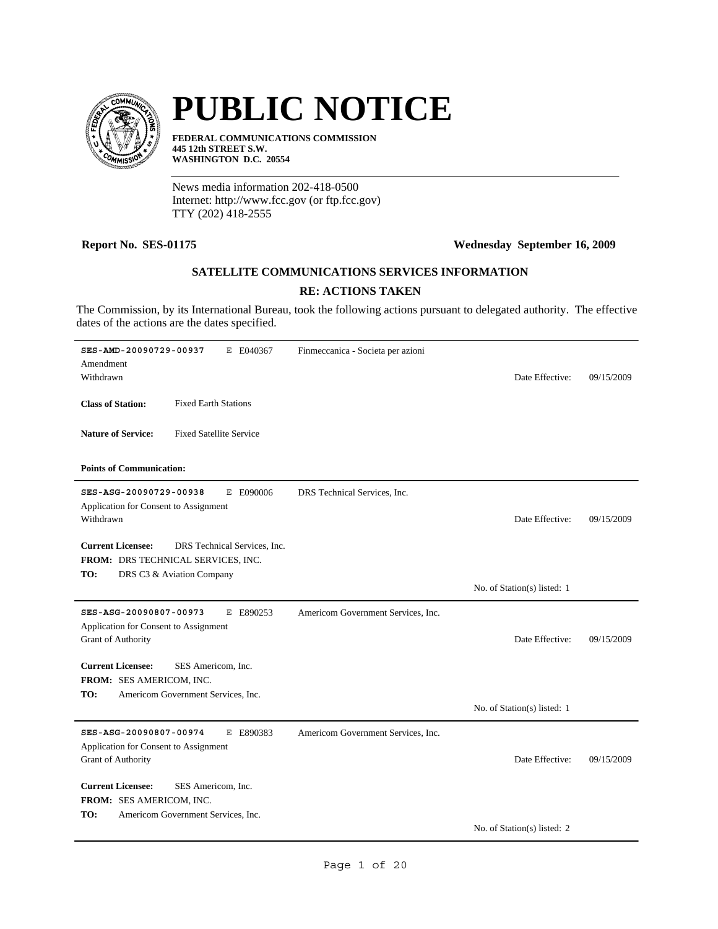

# **PUBLIC NOTICE**

**FEDERAL COMMUNICATIONS COMMISSION 445 12th STREET S.W. WASHINGTON D.C. 20554**

News media information 202-418-0500 Internet: http://www.fcc.gov (or ftp.fcc.gov) TTY (202) 418-2555

## **Report No. SES-01175 Wednesday September 16, 2009**

# **SATELLITE COMMUNICATIONS SERVICES INFORMATION**

## **RE: ACTIONS TAKEN**

The Commission, by its International Bureau, took the following actions pursuant to delegated authority. The effective dates of the actions are the dates specified.

| SES-AMD-20090729-00937<br>E E040367<br>Amendment                                                                                   | Finmeccanica - Societa per azioni  |                             |            |
|------------------------------------------------------------------------------------------------------------------------------------|------------------------------------|-----------------------------|------------|
| Withdrawn                                                                                                                          |                                    | Date Effective:             | 09/15/2009 |
| <b>Class of Station:</b><br><b>Fixed Earth Stations</b>                                                                            |                                    |                             |            |
| <b>Fixed Satellite Service</b><br><b>Nature of Service:</b>                                                                        |                                    |                             |            |
| <b>Points of Communication:</b>                                                                                                    |                                    |                             |            |
| SES-ASG-20090729-00938<br>E E090006<br>Application for Consent to Assignment                                                       | DRS Technical Services, Inc.       |                             |            |
| Withdrawn                                                                                                                          |                                    | Date Effective:             | 09/15/2009 |
| <b>Current Licensee:</b><br>DRS Technical Services, Inc.<br>FROM: DRS TECHNICAL SERVICES, INC.<br>DRS C3 & Aviation Company<br>TO: |                                    |                             |            |
|                                                                                                                                    |                                    | No. of Station(s) listed: 1 |            |
| SES-ASG-20090807-00973<br>E E890253                                                                                                | Americom Government Services, Inc. |                             |            |
| Application for Consent to Assignment<br><b>Grant of Authority</b>                                                                 |                                    | Date Effective:             | 09/15/2009 |
| SES Americom, Inc.<br><b>Current Licensee:</b><br>FROM: SES AMERICOM, INC.                                                         |                                    |                             |            |
| Americom Government Services, Inc.<br>TO:                                                                                          |                                    | No. of Station(s) listed: 1 |            |
| SES-ASG-20090807-00974                                                                                                             |                                    |                             |            |
| E E890383<br>Application for Consent to Assignment                                                                                 | Americom Government Services, Inc. |                             |            |
| <b>Grant of Authority</b>                                                                                                          |                                    | Date Effective:             | 09/15/2009 |
| <b>Current Licensee:</b><br>SES Americom, Inc.<br>FROM: SES AMERICOM, INC.                                                         |                                    |                             |            |
| TO:<br>Americom Government Services, Inc.                                                                                          |                                    | No. of Station(s) listed: 2 |            |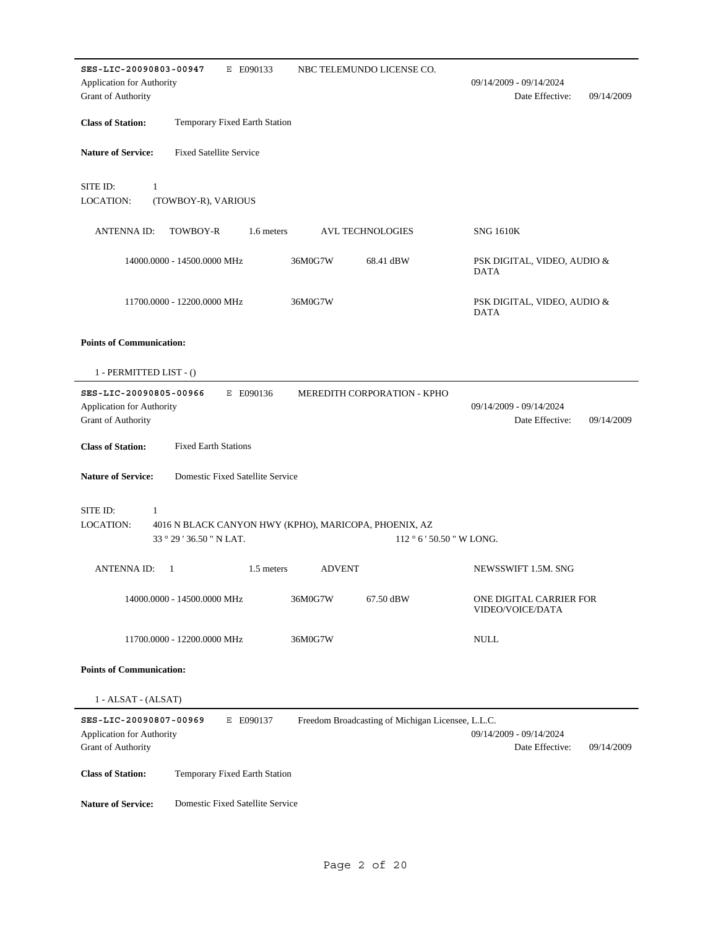| SES-LIC-20090803-00947<br>E E090133<br>NBC TELEMUNDO LICENSE CO.<br>Application for Authority<br><b>Grant of Authority</b>                        | 09/14/2009 - 09/14/2024<br>Date Effective:<br>09/14/2009 |
|---------------------------------------------------------------------------------------------------------------------------------------------------|----------------------------------------------------------|
| <b>Class of Station:</b><br>Temporary Fixed Earth Station                                                                                         |                                                          |
| <b>Nature of Service:</b><br><b>Fixed Satellite Service</b>                                                                                       |                                                          |
| SITE ID:<br>1<br><b>LOCATION:</b><br>(TOWBOY-R), VARIOUS                                                                                          |                                                          |
| 1.6 meters<br><b>ANTENNA ID:</b><br>TOWBOY-R<br><b>AVL TECHNOLOGIES</b>                                                                           | <b>SNG 1610K</b>                                         |
| 14000.0000 - 14500.0000 MHz<br>36M0G7W<br>68.41 dBW                                                                                               | PSK DIGITAL, VIDEO, AUDIO &<br><b>DATA</b>               |
| 11700.0000 - 12200.0000 MHz<br>36M0G7W                                                                                                            | PSK DIGITAL, VIDEO, AUDIO &<br><b>DATA</b>               |
| <b>Points of Communication:</b>                                                                                                                   |                                                          |
| 1 - PERMITTED LIST - ()                                                                                                                           |                                                          |
| SES-LIC-20090805-00966<br>E E090136<br>MEREDITH CORPORATION - KPHO<br>Application for Authority<br>Grant of Authority                             | 09/14/2009 - 09/14/2024<br>Date Effective:<br>09/14/2009 |
| <b>Class of Station:</b><br><b>Fixed Earth Stations</b>                                                                                           |                                                          |
| Domestic Fixed Satellite Service<br><b>Nature of Service:</b>                                                                                     |                                                          |
| SITE ID:<br>1<br><b>LOCATION:</b><br>4016 N BLACK CANYON HWY (KPHO), MARICOPA, PHOENIX, AZ<br>33 ° 29 ' 36.50 " N LAT.<br>$112°6'50.50''$ W LONG. |                                                          |
| <b>ANTENNAID:</b><br>1.5 meters<br>$\overline{1}$<br><b>ADVENT</b>                                                                                | NEWSSWIFT 1.5M. SNG                                      |
| 36M0G7W<br>67.50 dBW<br>14000.0000 - 14500.0000 MHz                                                                                               | ONE DIGITAL CARRIER FOR<br>VIDEO/VOICE/DATA              |
| 11700.0000 - 12200.0000 MHz<br>36M0G7W                                                                                                            | $\mbox{NULL}$                                            |
| <b>Points of Communication:</b>                                                                                                                   |                                                          |
| 1 - ALSAT - (ALSAT)                                                                                                                               |                                                          |
| SES-LIC-20090807-00969<br>E E090137<br>Freedom Broadcasting of Michigan Licensee, L.L.C.<br>Application for Authority<br>Grant of Authority       | 09/14/2009 - 09/14/2024<br>Date Effective:<br>09/14/2009 |
| <b>Class of Station:</b><br>Temporary Fixed Earth Station                                                                                         |                                                          |
| <b>Nature of Service:</b><br>Domestic Fixed Satellite Service                                                                                     |                                                          |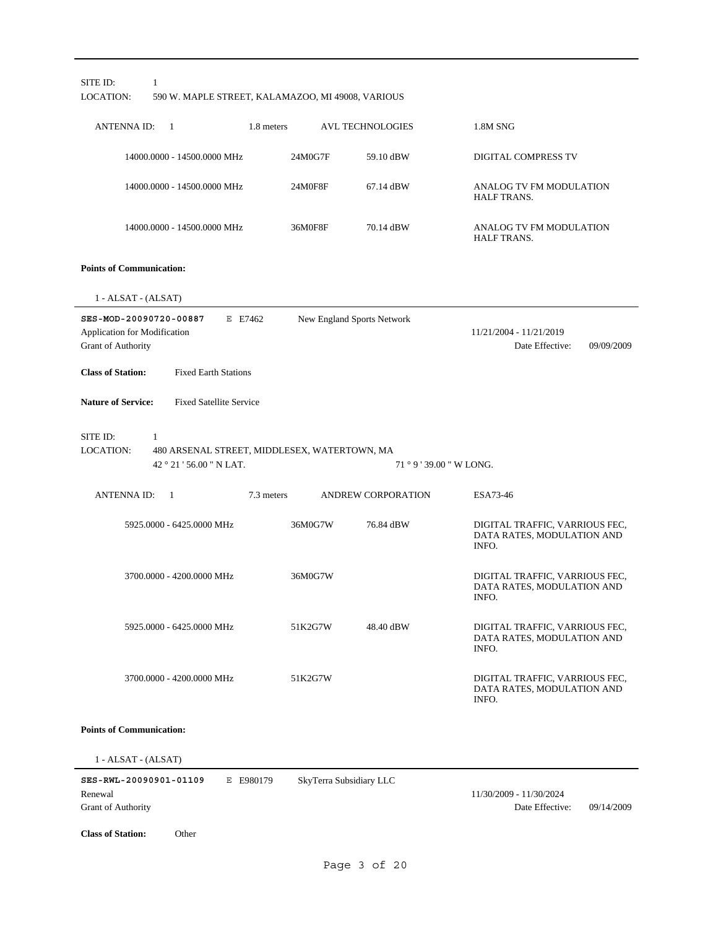| SITE ID:<br>$\mathbf{1}$<br><b>LOCATION:</b>                                            | 590 W. MAPLE STREET, KALAMAZOO, MI 49008, VARIOUS |                           |                                                                       |
|-----------------------------------------------------------------------------------------|---------------------------------------------------|---------------------------|-----------------------------------------------------------------------|
| <b>ANTENNA ID:</b><br>$\overline{1}$                                                    | 1.8 meters<br><b>AVL TECHNOLOGIES</b>             |                           | 1.8M SNG                                                              |
| 14000.0000 - 14500.0000 MHz                                                             | 24M0G7F                                           | 59.10 dBW                 | DIGITAL COMPRESS TV                                                   |
| 14000.0000 - 14500.0000 MHz                                                             | 24M0F8F                                           | 67.14 dBW                 | ANALOG TV FM MODULATION<br>HALF TRANS.                                |
| 14000.0000 - 14500.0000 MHz                                                             | 36M0F8F                                           | 70.14 dBW                 | ANALOG TV FM MODULATION<br>HALF TRANS.                                |
| <b>Points of Communication:</b>                                                         |                                                   |                           |                                                                       |
| 1 - ALSAT - (ALSAT)                                                                     |                                                   |                           |                                                                       |
| SES-MOD-20090720-00887<br>E E7462<br>Application for Modification<br>Grant of Authority | New England Sports Network                        |                           | 11/21/2004 - 11/21/2019<br>Date Effective:<br>09/09/2009              |
| <b>Class of Station:</b><br><b>Fixed Earth Stations</b>                                 |                                                   |                           |                                                                       |
| <b>Nature of Service:</b><br><b>Fixed Satellite Service</b>                             |                                                   |                           |                                                                       |
| SITE ID:<br>$\mathbf{1}$<br>LOCATION:<br>$42^{\circ}21'56.00''$ N LAT.                  | 480 ARSENAL STREET, MIDDLESEX, WATERTOWN, MA      | $71°9'39.00''$ W LONG.    |                                                                       |
| <b>ANTENNA ID:</b><br>1                                                                 | 7.3 meters                                        | <b>ANDREW CORPORATION</b> | ESA73-46                                                              |
| 5925.0000 - 6425.0000 MHz                                                               | 36M0G7W                                           | 76.84 dBW                 | DIGITAL TRAFFIC, VARRIOUS FEC,<br>DATA RATES, MODULATION AND<br>INFO. |
| 3700.0000 - 4200.0000 MHz                                                               | 36M0G7W                                           |                           | DIGITAL TRAFFIC, VARRIOUS FEC,<br>DATA RATES, MODULATION AND<br>INFO. |
| 5925.0000 - 6425.0000 MHz                                                               | 51K2G7W                                           | 48.40 dBW                 | DIGITAL TRAFFIC, VARRIOUS FEC,<br>DATA RATES, MODULATION AND<br>INFO. |
| 3700.0000 - 4200.0000 MHz                                                               | 51K2G7W                                           |                           | DIGITAL TRAFFIC, VARRIOUS FEC,                                        |
|                                                                                         |                                                   |                           | DATA RATES, MODULATION AND<br>INFO.                                   |

1 - ALSAT - (ALSAT)

| SES-RWL-20090901-01109    | E E980179 | SkyTerra Subsidiary LLC |                         |            |
|---------------------------|-----------|-------------------------|-------------------------|------------|
| Renewal                   |           |                         | 11/30/2009 - 11/30/2024 |            |
| <b>Grant of Authority</b> |           |                         | Date Effective:         | 09/14/2009 |
|                           |           |                         |                         |            |

**Class of Station:** Other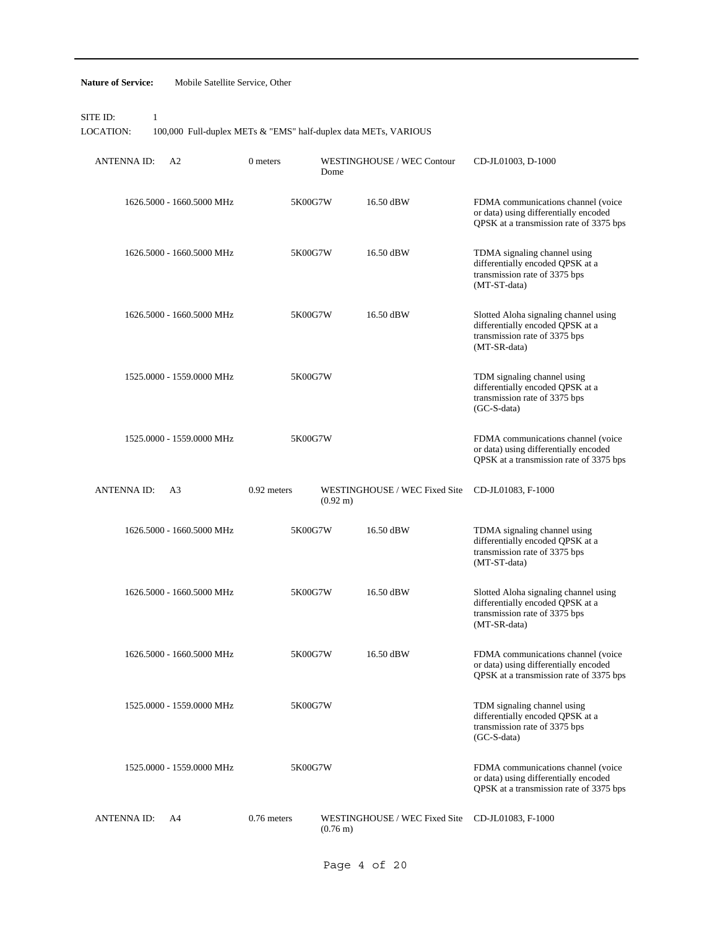#### **Nature of Service:** Mobile Satellite Service, Other

#### SITE ID: 1

LOCATION: 100,000 Full-duplex METs & "EMS" half-duplex data METs, VARIOUS

| ANTENNA ID:        | A2                        | 0 meters      | WESTINGHOUSE / WEC Contour<br>Dome                  | CD-JL01003, D-1000                                                                                                         |
|--------------------|---------------------------|---------------|-----------------------------------------------------|----------------------------------------------------------------------------------------------------------------------------|
|                    | 1626.5000 - 1660.5000 MHz | 5K00G7W       | 16.50 dBW                                           | FDMA communications channel (voice<br>or data) using differentially encoded<br>QPSK at a transmission rate of 3375 bps     |
|                    | 1626.5000 - 1660.5000 MHz | 5K00G7W       | 16.50 dBW                                           | TDMA signaling channel using<br>differentially encoded QPSK at a<br>transmission rate of 3375 bps<br>(MT-ST-data)          |
|                    | 1626.5000 - 1660.5000 MHz | 5K00G7W       | 16.50 dBW                                           | Slotted Aloha signaling channel using<br>differentially encoded QPSK at a<br>transmission rate of 3375 bps<br>(MT-SR-data) |
|                    | 1525.0000 - 1559.0000 MHz | 5K00G7W       |                                                     | TDM signaling channel using<br>differentially encoded QPSK at a<br>transmission rate of 3375 bps<br>$(GC-S-data)$          |
|                    | 1525,0000 - 1559,0000 MHz | 5K00G7W       |                                                     | FDMA communications channel (voice<br>or data) using differentially encoded<br>QPSK at a transmission rate of 3375 bps     |
| <b>ANTENNA ID:</b> | A <sub>3</sub>            | $0.92$ meters | WESTINGHOUSE / WEC Fixed Site<br>$(0.92 \text{ m})$ | CD-JL01083, F-1000                                                                                                         |
|                    |                           |               |                                                     |                                                                                                                            |
|                    | 1626.5000 - 1660.5000 MHz | 5K00G7W       | 16.50 dBW                                           | TDMA signaling channel using<br>differentially encoded QPSK at a<br>transmission rate of 3375 bps<br>(MT-ST-data)          |
|                    | 1626.5000 - 1660.5000 MHz | 5K00G7W       | 16.50 dBW                                           | Slotted Aloha signaling channel using<br>differentially encoded QPSK at a<br>transmission rate of 3375 bps<br>(MT-SR-data) |
|                    | 1626.5000 - 1660.5000 MHz | 5K00G7W       | 16.50 dBW                                           | FDMA communications channel (voice<br>or data) using differentially encoded<br>QPSK at a transmission rate of 3375 bps     |
|                    | 1525,0000 - 1559,0000 MHz | 5K00G7W       |                                                     | TDM signaling channel using<br>differentially encoded QPSK at a<br>transmission rate of 3375 bps<br>$(GC-S-data)$          |
|                    | 1525.0000 - 1559.0000 MHz | 5K00G7W       |                                                     | FDMA communications channel (voice)<br>or data) using differentially encoded<br>OPSK at a transmission rate of 3375 bps    |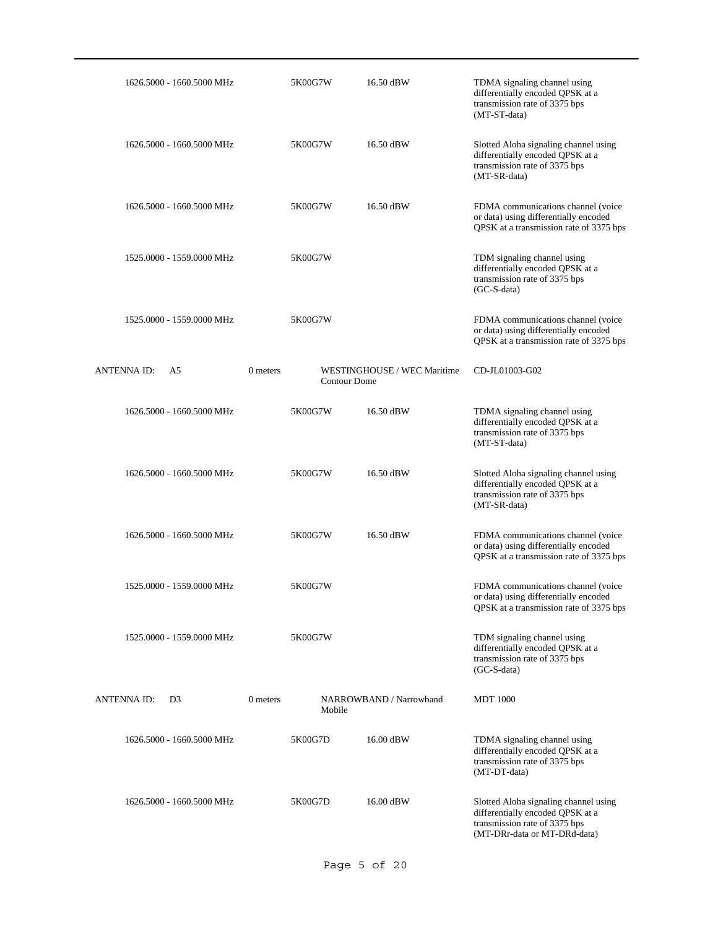| 1626.5000 - 1660.5000 MHz            |            | 5K00G7W | 16.50 dBW                                          | TDMA signaling channel using<br>differentially encoded QPSK at a<br>transmission rate of 3375 bps<br>(MT-ST-data)                          |
|--------------------------------------|------------|---------|----------------------------------------------------|--------------------------------------------------------------------------------------------------------------------------------------------|
| 1626.5000 - 1660.5000 MHz            |            | 5K00G7W | 16.50 dBW                                          | Slotted Aloha signaling channel using<br>differentially encoded QPSK at a<br>transmission rate of 3375 bps<br>(MT-SR-data)                 |
| 1626.5000 - 1660.5000 MHz            |            | 5K00G7W | 16.50 dBW                                          | FDMA communications channel (voice<br>or data) using differentially encoded<br>QPSK at a transmission rate of 3375 bps                     |
| 1525.0000 - 1559.0000 MHz            |            | 5K00G7W |                                                    | TDM signaling channel using<br>differentially encoded QPSK at a<br>transmission rate of 3375 bps<br>$(GC-S-data)$                          |
| 1525,0000 - 1559,0000 MHz            |            | 5K00G7W |                                                    | FDMA communications channel (voice<br>or data) using differentially encoded<br>QPSK at a transmission rate of 3375 bps                     |
| ANTENNA ID:<br>A5                    | $0$ meters |         | WESTINGHOUSE / WEC Maritime<br><b>Contour Dome</b> | CD-JL01003-G02                                                                                                                             |
| 1626.5000 - 1660.5000 MHz            |            | 5K00G7W | 16.50 dBW                                          | TDMA signaling channel using<br>differentially encoded QPSK at a<br>transmission rate of 3375 bps<br>(MT-ST-data)                          |
| 1626.5000 - 1660.5000 MHz            |            | 5K00G7W | 16.50 dBW                                          | Slotted Aloha signaling channel using<br>differentially encoded QPSK at a<br>transmission rate of 3375 bps<br>(MT-SR-data)                 |
| 1626.5000 - 1660.5000 MHz            |            | 5K00G7W | 16.50 dBW                                          | FDMA communications channel (voice<br>or data) using differentially encoded<br>QPSK at a transmission rate of 3375 bps                     |
| 1525.0000 - 1559.0000 MHz            |            | 5K00G7W |                                                    | FDMA communications channel (voice)<br>or data) using differentially encoded<br>OPSK at a transmission rate of 3375 bps                    |
| 1525.0000 - 1559.0000 MHz            |            | 5K00G7W |                                                    | TDM signaling channel using<br>differentially encoded QPSK at a<br>transmission rate of 3375 bps<br>$(GC-S-data)$                          |
| <b>ANTENNA ID:</b><br>D <sub>3</sub> | 0 meters   | Mobile  | NARROWBAND / Narrowband                            | <b>MDT</b> 1000                                                                                                                            |
| 1626.5000 - 1660.5000 MHz            |            | 5K00G7D | 16.00 dBW                                          | TDMA signaling channel using<br>differentially encoded QPSK at a<br>transmission rate of 3375 bps<br>(MT-DT-data)                          |
| 1626.5000 - 1660.5000 MHz            |            | 5K00G7D | 16.00 dBW                                          | Slotted Aloha signaling channel using<br>differentially encoded QPSK at a<br>transmission rate of 3375 bps<br>(MT-DRr-data or MT-DRd-data) |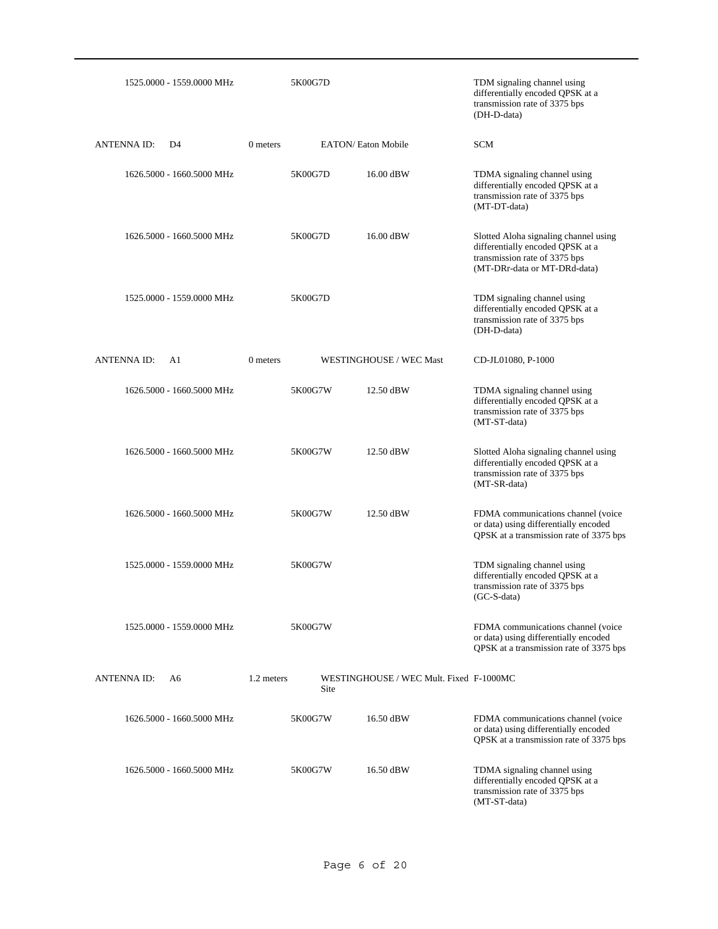| 1525,0000 - 1559,0000 MHz | 5K00G7D            |                                         | TDM signaling channel using<br>differentially encoded QPSK at a<br>transmission rate of 3375 bps<br>(DH-D-data)                            |
|---------------------------|--------------------|-----------------------------------------|--------------------------------------------------------------------------------------------------------------------------------------------|
| <b>ANTENNAID:</b><br>D4   | 0 meters           | <b>EATON/ Eaton Mobile</b>              | SCM                                                                                                                                        |
| 1626.5000 - 1660.5000 MHz | 5K00G7D            | 16.00 dBW                               | TDMA signaling channel using<br>differentially encoded QPSK at a<br>transmission rate of 3375 bps<br>(MT-DT-data)                          |
| 1626.5000 - 1660.5000 MHz | 5K00G7D            | 16.00 dBW                               | Slotted Aloha signaling channel using<br>differentially encoded QPSK at a<br>transmission rate of 3375 bps<br>(MT-DRr-data or MT-DRd-data) |
| 1525.0000 - 1559.0000 MHz | 5K00G7D            |                                         | TDM signaling channel using<br>differentially encoded QPSK at a<br>transmission rate of 3375 bps<br>(DH-D-data)                            |
| <b>ANTENNA ID:</b><br>A1  | 0 meters           | WESTINGHOUSE / WEC Mast                 | CD-JL01080, P-1000                                                                                                                         |
| 1626.5000 - 1660.5000 MHz | 5K00G7W            | 12.50 dBW                               | TDMA signaling channel using<br>differentially encoded QPSK at a<br>transmission rate of 3375 bps<br>(MT-ST-data)                          |
| 1626.5000 - 1660.5000 MHz | 5K00G7W            | 12.50 dBW                               | Slotted Aloha signaling channel using<br>differentially encoded QPSK at a<br>transmission rate of 3375 bps<br>(MT-SR-data)                 |
| 1626.5000 - 1660.5000 MHz | 5K00G7W            | 12.50 dBW                               | FDMA communications channel (voice<br>or data) using differentially encoded<br>QPSK at a transmission rate of 3375 bps                     |
| 1525,0000 - 1559,0000 MHz | 5K00G7W            |                                         | TDM signaling channel using<br>differentially encoded QPSK at a<br>transmission rate of 3375 bps<br>(GC-S-data)                            |
| 1525.0000 - 1559.0000 MHz | 5K00G7W            |                                         | FDMA communications channel (voice<br>or data) using differentially encoded<br>QPSK at a transmission rate of 3375 bps                     |
| <b>ANTENNAID:</b><br>A6   | 1.2 meters<br>Site | WESTINGHOUSE / WEC Mult. Fixed F-1000MC |                                                                                                                                            |
| 1626.5000 - 1660.5000 MHz | 5K00G7W            | 16.50 dBW                               | FDMA communications channel (voice)<br>or data) using differentially encoded<br>QPSK at a transmission rate of 3375 bps                    |
| 1626.5000 - 1660.5000 MHz | 5K00G7W            | 16.50 dBW                               | TDMA signaling channel using<br>differentially encoded QPSK at a<br>transmission rate of 3375 bps<br>(MT-ST-data)                          |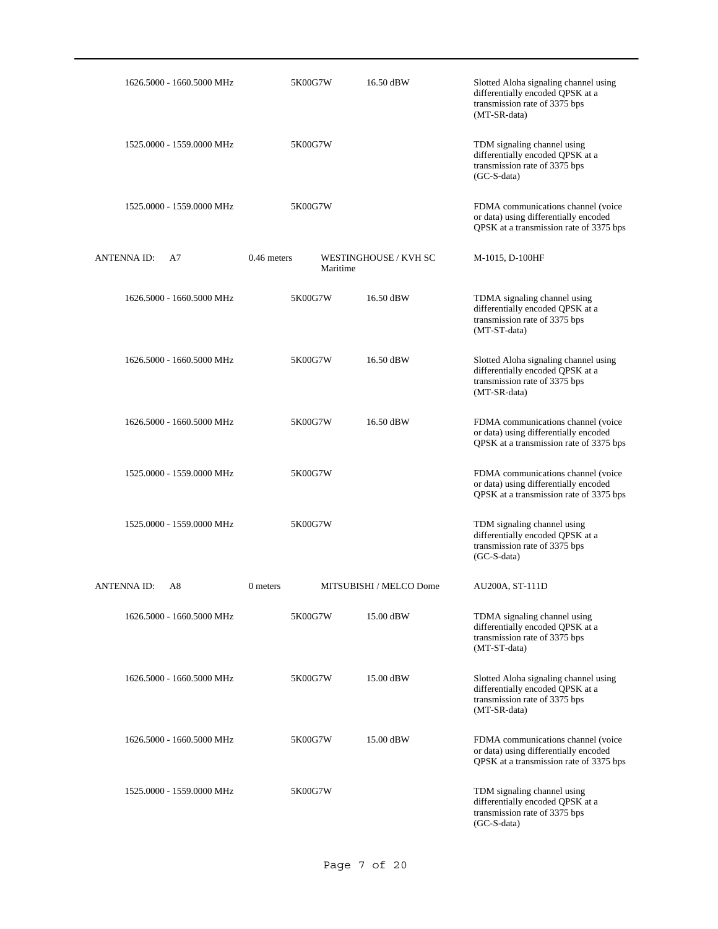| 1626.5000 - 1660.5000 MHz | 5K00G7W                 | 16.50 dBW               | Slotted Aloha signaling channel using<br>differentially encoded QPSK at a<br>transmission rate of 3375 bps<br>(MT-SR-data) |
|---------------------------|-------------------------|-------------------------|----------------------------------------------------------------------------------------------------------------------------|
| 1525.0000 - 1559.0000 MHz | 5K00G7W                 |                         | TDM signaling channel using<br>differentially encoded QPSK at a<br>transmission rate of 3375 bps<br>$(GC-S-data)$          |
| 1525.0000 - 1559.0000 MHz | 5K00G7W                 |                         | FDMA communications channel (voice<br>or data) using differentially encoded<br>QPSK at a transmission rate of 3375 bps     |
| ANTENNA ID:<br>A7         | 0.46 meters<br>Maritime | WESTINGHOUSE / KVH SC   | M-1015, D-100HF                                                                                                            |
| 1626.5000 - 1660.5000 MHz | 5K00G7W                 | 16.50 dBW               | TDMA signaling channel using<br>differentially encoded QPSK at a<br>transmission rate of 3375 bps<br>(MT-ST-data)          |
| 1626.5000 - 1660.5000 MHz | 5K00G7W                 | 16.50 dBW               | Slotted Aloha signaling channel using<br>differentially encoded QPSK at a<br>transmission rate of 3375 bps<br>(MT-SR-data) |
| 1626.5000 - 1660.5000 MHz | 5K00G7W                 | 16.50 dBW               | FDMA communications channel (voice<br>or data) using differentially encoded<br>QPSK at a transmission rate of 3375 bps     |
| 1525.0000 - 1559.0000 MHz | 5K00G7W                 |                         | FDMA communications channel (voice)<br>or data) using differentially encoded<br>QPSK at a transmission rate of 3375 bps    |
| 1525.0000 - 1559.0000 MHz | 5K00G7W                 |                         | TDM signaling channel using<br>differentially encoded QPSK at a<br>transmission rate of 3375 bps<br>$(GC-S-data)$          |
| ANTENNA ID:<br>A8         | 0 meters                | MITSUBISHI / MELCO Dome | AU200A, ST-111D                                                                                                            |
| 1626.5000 - 1660.5000 MHz | 5K00G7W                 | 15.00 dBW               | TDMA signaling channel using<br>differentially encoded QPSK at a<br>transmission rate of 3375 bps<br>(MT-ST-data)          |
| 1626.5000 - 1660.5000 MHz | 5K00G7W                 | 15.00 dBW               | Slotted Aloha signaling channel using<br>differentially encoded QPSK at a<br>transmission rate of 3375 bps<br>(MT-SR-data) |
| 1626.5000 - 1660.5000 MHz | 5K00G7W                 | 15.00 dBW               | FDMA communications channel (voice<br>or data) using differentially encoded<br>QPSK at a transmission rate of 3375 bps     |
| 1525,0000 - 1559,0000 MHz | 5K00G7W                 |                         | TDM signaling channel using<br>differentially encoded QPSK at a<br>transmission rate of 3375 bps<br>$(GC-S-data)$          |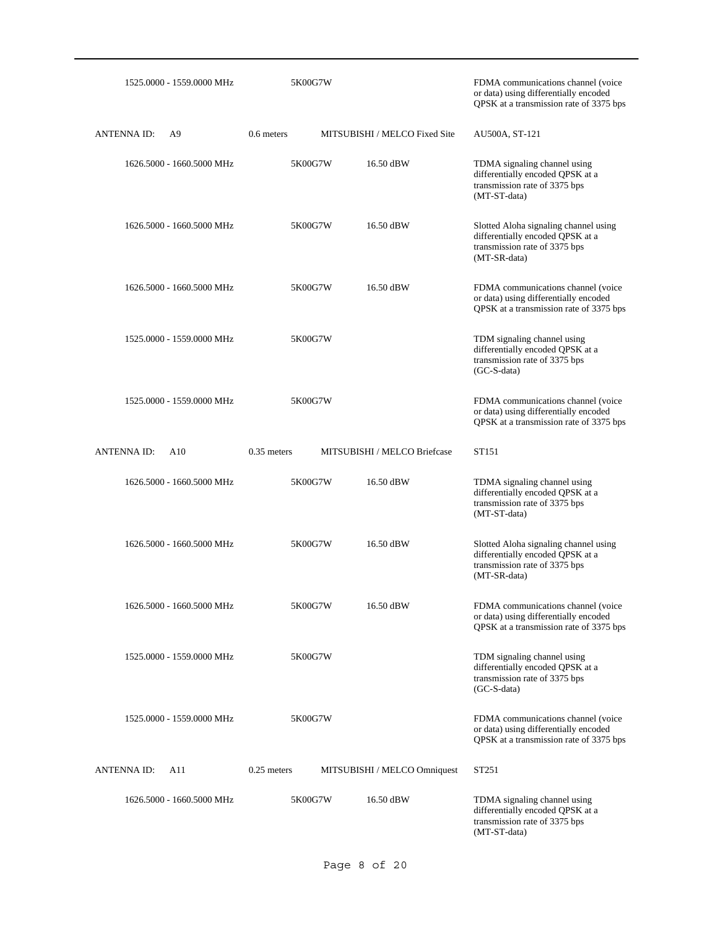|                    | 1525.0000 - 1559.0000 MHz | 5K00G7W       |                               | FDMA communications channel (voice<br>or data) using differentially encoded<br>QPSK at a transmission rate of 3375 bps     |
|--------------------|---------------------------|---------------|-------------------------------|----------------------------------------------------------------------------------------------------------------------------|
| <b>ANTENNA ID:</b> | A <sup>9</sup>            | $0.6$ meters  | MITSUBISHI / MELCO Fixed Site | AU500A, ST-121                                                                                                             |
|                    | 1626.5000 - 1660.5000 MHz | 5K00G7W       | 16.50 dBW                     | TDMA signaling channel using<br>differentially encoded QPSK at a<br>transmission rate of 3375 bps<br>(MT-ST-data)          |
|                    | 1626.5000 - 1660.5000 MHz | 5K00G7W       | 16.50 dBW                     | Slotted Aloha signaling channel using<br>differentially encoded QPSK at a<br>transmission rate of 3375 bps<br>(MT-SR-data) |
|                    | 1626.5000 - 1660.5000 MHz | 5K00G7W       | 16.50 dBW                     | FDMA communications channel (voice<br>or data) using differentially encoded<br>QPSK at a transmission rate of 3375 bps     |
|                    | 1525.0000 - 1559.0000 MHz | 5K00G7W       |                               | TDM signaling channel using<br>differentially encoded QPSK at a<br>transmission rate of 3375 bps<br>$(GC-S-data)$          |
|                    | 1525.0000 - 1559.0000 MHz | 5K00G7W       |                               | FDMA communications channel (voice)<br>or data) using differentially encoded<br>QPSK at a transmission rate of 3375 bps    |
| <b>ANTENNA ID:</b> | A10                       | $0.35$ meters | MITSUBISHI / MELCO Briefcase  | ST151                                                                                                                      |
|                    | 1626.5000 - 1660.5000 MHz | 5K00G7W       | 16.50 dBW                     | TDMA signaling channel using<br>differentially encoded QPSK at a<br>transmission rate of 3375 bps<br>(MT-ST-data)          |
|                    | 1626.5000 - 1660.5000 MHz | 5K00G7W       | 16.50 dBW                     | Slotted Aloha signaling channel using<br>differentially encoded QPSK at a<br>transmission rate of 3375 bps<br>(MT-SR-data) |
|                    | 1626.5000 - 1660.5000 MHz | 5K00G7W       | 16.50 dBW                     | FDMA communications channel (voice<br>or data) using differentially encoded<br>QPSK at a transmission rate of 3375 bps     |
|                    | 1525.0000 - 1559.0000 MHz | 5K00G7W       |                               | TDM signaling channel using<br>differentially encoded QPSK at a<br>transmission rate of 3375 bps<br>$(GC-S-data)$          |
|                    | 1525.0000 - 1559.0000 MHz | 5K00G7W       |                               | FDMA communications channel (voice<br>or data) using differentially encoded<br>QPSK at a transmission rate of 3375 bps     |
| <b>ANTENNA ID:</b> | A11                       | $0.25$ meters | MITSUBISHI / MELCO Omniquest  | ST251                                                                                                                      |
|                    | 1626.5000 - 1660.5000 MHz | 5K00G7W       | 16.50 dBW                     | TDMA signaling channel using<br>differentially encoded QPSK at a<br>transmission rate of 3375 bps<br>(MT-ST-data)          |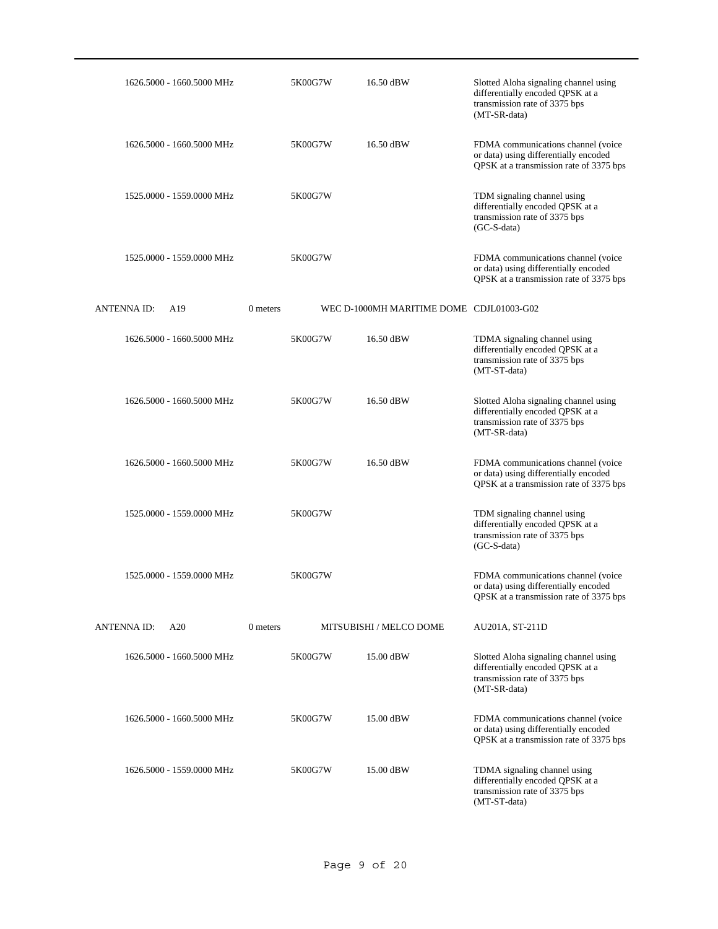|                    | 1626.5000 - 1660.5000 MHz |          | 5K00G7W | 16.50 dBW                                | Slotted Aloha signaling channel using<br>differentially encoded QPSK at a<br>transmission rate of 3375 bps<br>(MT-SR-data) |
|--------------------|---------------------------|----------|---------|------------------------------------------|----------------------------------------------------------------------------------------------------------------------------|
|                    | 1626.5000 - 1660.5000 MHz |          | 5K00G7W | 16.50 dBW                                | FDMA communications channel (voice<br>or data) using differentially encoded<br>QPSK at a transmission rate of 3375 bps     |
|                    | 1525,0000 - 1559,0000 MHz |          | 5K00G7W |                                          | TDM signaling channel using<br>differentially encoded QPSK at a<br>transmission rate of 3375 bps<br>(GC-S-data)            |
|                    | 1525.0000 - 1559.0000 MHz |          | 5K00G7W |                                          | FDMA communications channel (voice<br>or data) using differentially encoded<br>QPSK at a transmission rate of 3375 bps     |
| <b>ANTENNA ID:</b> | A19                       | 0 meters |         | WEC D-1000MH MARITIME DOME CDJL01003-G02 |                                                                                                                            |
|                    | 1626.5000 - 1660.5000 MHz |          | 5K00G7W | 16.50 dBW                                | TDMA signaling channel using<br>differentially encoded QPSK at a<br>transmission rate of 3375 bps<br>(MT-ST-data)          |
|                    | 1626.5000 - 1660.5000 MHz |          | 5K00G7W | 16.50 dBW                                | Slotted Aloha signaling channel using<br>differentially encoded QPSK at a<br>transmission rate of 3375 bps<br>(MT-SR-data) |
|                    | 1626.5000 - 1660.5000 MHz |          | 5K00G7W | 16.50 dBW                                | FDMA communications channel (voice<br>or data) using differentially encoded<br>QPSK at a transmission rate of 3375 bps     |
|                    | 1525.0000 - 1559.0000 MHz |          | 5K00G7W |                                          | TDM signaling channel using<br>differentially encoded QPSK at a<br>transmission rate of 3375 bps<br>(GC-S-data)            |
|                    | 1525,0000 - 1559,0000 MHz |          | 5K00G7W |                                          | FDMA communications channel (voice<br>or data) using differentially encoded<br>QPSK at a transmission rate of 3375 bps     |
| <b>ANTENNA ID:</b> | A20                       | 0 meters |         | MITSUBISHI / MELCO DOME                  | AU201A, ST-211D                                                                                                            |
|                    | 1626.5000 - 1660.5000 MHz |          | 5K00G7W | 15.00 dBW                                | Slotted Aloha signaling channel using<br>differentially encoded QPSK at a<br>transmission rate of 3375 bps<br>(MT-SR-data) |
|                    | 1626.5000 - 1660.5000 MHz |          | 5K00G7W | 15.00 dBW                                | FDMA communications channel (voice<br>or data) using differentially encoded<br>QPSK at a transmission rate of 3375 bps     |
|                    | 1626.5000 - 1559.0000 MHz |          | 5K00G7W | 15.00 dBW                                | TDMA signaling channel using<br>differentially encoded QPSK at a<br>transmission rate of 3375 bps<br>(MT-ST-data)          |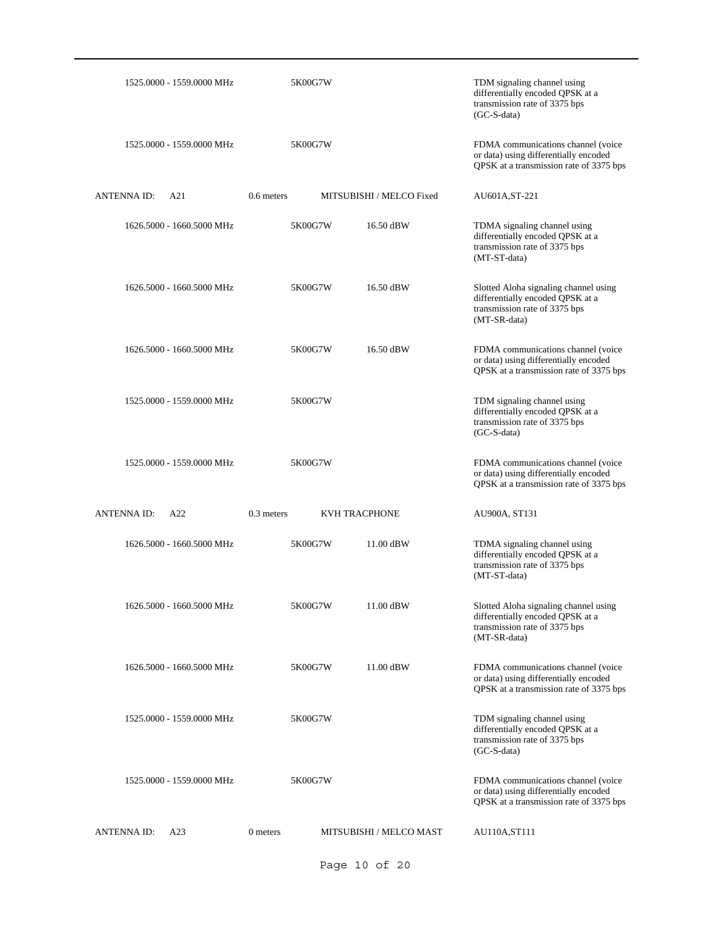| 1525.0000 - 1559.0000 MHz | 5K00G7W      |                          | TDM signaling channel using<br>differentially encoded QPSK at a<br>transmission rate of 3375 bps<br>$(GC-S-data)$          |
|---------------------------|--------------|--------------------------|----------------------------------------------------------------------------------------------------------------------------|
| 1525.0000 - 1559.0000 MHz | 5K00G7W      |                          | FDMA communications channel (voice<br>or data) using differentially encoded<br>QPSK at a transmission rate of 3375 bps     |
| <b>ANTENNA ID:</b><br>A21 | $0.6$ meters | MITSUBISHI / MELCO Fixed | AU601A, ST-221                                                                                                             |
| 1626.5000 - 1660.5000 MHz | 5K00G7W      | 16.50 dBW                | TDMA signaling channel using<br>differentially encoded QPSK at a<br>transmission rate of 3375 bps<br>(MT-ST-data)          |
| 1626.5000 - 1660.5000 MHz | 5K00G7W      | 16.50 dBW                | Slotted Aloha signaling channel using<br>differentially encoded QPSK at a<br>transmission rate of 3375 bps<br>(MT-SR-data) |
| 1626.5000 - 1660.5000 MHz | 5K00G7W      | 16.50 dBW                | FDMA communications channel (voice<br>or data) using differentially encoded<br>QPSK at a transmission rate of 3375 bps     |
| 1525,0000 - 1559,0000 MHz | 5K00G7W      |                          | TDM signaling channel using<br>differentially encoded QPSK at a<br>transmission rate of 3375 bps<br>$(GC-S-data)$          |
| 1525.0000 - 1559.0000 MHz | 5K00G7W      |                          | FDMA communications channel (voice<br>or data) using differentially encoded                                                |
|                           |              |                          | QPSK at a transmission rate of 3375 bps                                                                                    |
| <b>ANTENNA ID:</b><br>A22 | $0.3$ meters | KVH TRACPHONE            | AU900A, ST131                                                                                                              |
| 1626.5000 - 1660.5000 MHz | 5K00G7W      | 11.00 dBW                | TDMA signaling channel using<br>differentially encoded QPSK at a<br>transmission rate of 3375 bps<br>(MT-ST-data)          |
| 1626.5000 - 1660.5000 MHz | 5K00G7W      | $11.00$ dBW              | Slotted Aloha signaling channel using<br>differentially encoded QPSK at a<br>transmission rate of 3375 bps<br>(MT-SR-data) |
| 1626.5000 - 1660.5000 MHz | 5K00G7W      | $11.00$ dBW              | FDMA communications channel (voice<br>or data) using differentially encoded<br>QPSK at a transmission rate of 3375 bps     |
| 1525.0000 - 1559.0000 MHz | 5K00G7W      |                          | TDM signaling channel using<br>differentially encoded QPSK at a<br>transmission rate of 3375 bps<br>$(GC-S-data)$          |
| 1525.0000 - 1559.0000 MHz | 5K00G7W      |                          | FDMA communications channel (voice<br>or data) using differentially encoded<br>QPSK at a transmission rate of 3375 bps     |
| <b>ANTENNA ID:</b><br>A23 | 0 meters     | MITSUBISHI / MELCO MAST  | AU110A, ST111                                                                                                              |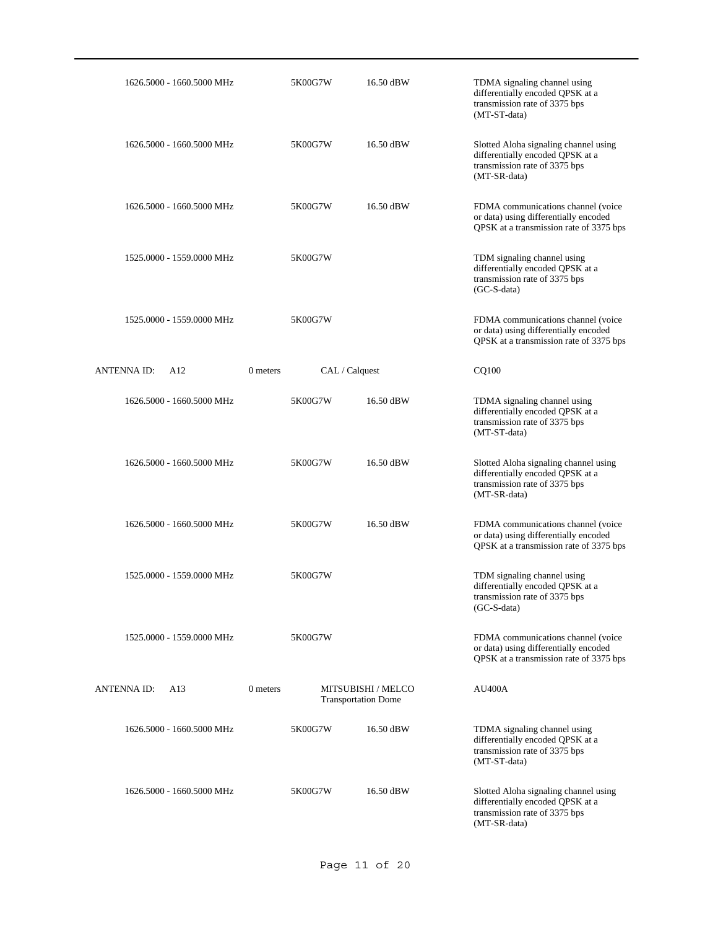| 1626.5000 - 1660.5000 MHz |          | 5K00G7W | 16.50 dBW                                        | TDMA signaling channel using<br>differentially encoded QPSK at a<br>transmission rate of 3375 bps<br>(MT-ST-data)          |
|---------------------------|----------|---------|--------------------------------------------------|----------------------------------------------------------------------------------------------------------------------------|
| 1626.5000 - 1660.5000 MHz |          | 5K00G7W | 16.50 dBW                                        | Slotted Aloha signaling channel using<br>differentially encoded QPSK at a<br>transmission rate of 3375 bps<br>(MT-SR-data) |
| 1626.5000 - 1660.5000 MHz |          | 5K00G7W | 16.50 dBW                                        | FDMA communications channel (voice<br>or data) using differentially encoded<br>QPSK at a transmission rate of 3375 bps     |
| 1525.0000 - 1559.0000 MHz |          | 5K00G7W |                                                  | TDM signaling channel using<br>differentially encoded QPSK at a<br>transmission rate of 3375 bps<br>$(GC-S-data)$          |
| 1525.0000 - 1559.0000 MHz |          | 5K00G7W |                                                  | FDMA communications channel (voice)<br>or data) using differentially encoded<br>QPSK at a transmission rate of 3375 bps    |
| <b>ANTENNA ID:</b><br>A12 | 0 meters |         | CAL / Calquest                                   | CQ100                                                                                                                      |
| 1626.5000 - 1660.5000 MHz |          | 5K00G7W | 16.50 dBW                                        | TDMA signaling channel using<br>differentially encoded QPSK at a<br>transmission rate of 3375 bps<br>(MT-ST-data)          |
| 1626.5000 - 1660.5000 MHz |          | 5K00G7W | 16.50 dBW                                        | Slotted Aloha signaling channel using<br>differentially encoded QPSK at a<br>transmission rate of 3375 bps<br>(MT-SR-data) |
| 1626.5000 - 1660.5000 MHz |          | 5K00G7W | 16.50 dBW                                        | FDMA communications channel (voice<br>or data) using differentially encoded<br>QPSK at a transmission rate of 3375 bps     |
| 1525,0000 - 1559,0000 MHz |          | 5K00G7W |                                                  | TDM signaling channel using<br>differentially encoded QPSK at a<br>transmission rate of 3375 bps<br>$(GC-S-data)$          |
| 1525.0000 - 1559.0000 MHz |          | 5K00G7W |                                                  | FDMA communications channel (voice<br>or data) using differentially encoded<br>QPSK at a transmission rate of 3375 bps     |
| <b>ANTENNA ID:</b><br>A13 | 0 meters |         | MITSUBISHI / MELCO<br><b>Transportation Dome</b> | AU400A                                                                                                                     |
| 1626.5000 - 1660.5000 MHz |          | 5K00G7W | 16.50 dBW                                        | TDMA signaling channel using<br>differentially encoded QPSK at a<br>transmission rate of 3375 bps<br>(MT-ST-data)          |
| 1626.5000 - 1660.5000 MHz |          | 5K00G7W | 16.50 dBW                                        | Slotted Aloha signaling channel using<br>differentially encoded QPSK at a<br>transmission rate of 3375 bps<br>(MT-SR-data) |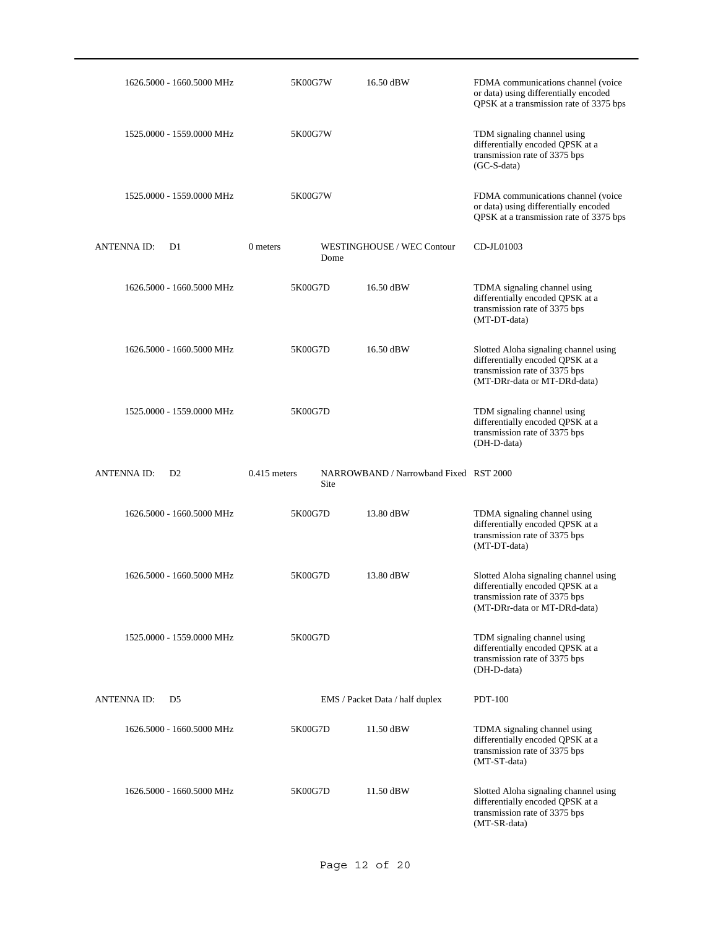|                    | 1626.5000 - 1660.5000 MHz | 5K00G7W                | 16.50 dBW                              | FDMA communications channel (voice<br>or data) using differentially encoded<br>QPSK at a transmission rate of 3375 bps                     |
|--------------------|---------------------------|------------------------|----------------------------------------|--------------------------------------------------------------------------------------------------------------------------------------------|
|                    | 1525.0000 - 1559.0000 MHz | 5K00G7W                |                                        | TDM signaling channel using<br>differentially encoded QPSK at a<br>transmission rate of 3375 bps<br>$(GC-S-data)$                          |
|                    | 1525,0000 - 1559,0000 MHz | 5K00G7W                |                                        | FDMA communications channel (voice<br>or data) using differentially encoded<br>QPSK at a transmission rate of 3375 bps                     |
| <b>ANTENNAID:</b>  | D <sub>1</sub>            | 0 meters<br>Dome       | WESTINGHOUSE / WEC Contour             | CD-JL01003                                                                                                                                 |
|                    | 1626.5000 - 1660.5000 MHz | 5K00G7D                | 16.50 dBW                              | TDMA signaling channel using<br>differentially encoded QPSK at a<br>transmission rate of 3375 bps<br>(MT-DT-data)                          |
|                    | 1626.5000 - 1660.5000 MHz | 5K00G7D                | 16.50 dBW                              | Slotted Aloha signaling channel using<br>differentially encoded QPSK at a<br>transmission rate of 3375 bps<br>(MT-DRr-data or MT-DRd-data) |
|                    | 1525.0000 - 1559.0000 MHz | 5K00G7D                |                                        | TDM signaling channel using<br>differentially encoded QPSK at a<br>transmission rate of 3375 bps<br>(DH-D-data)                            |
|                    |                           |                        |                                        |                                                                                                                                            |
| <b>ANTENNA ID:</b> | D2                        | $0.415$ meters<br>Site | NARROWBAND / Narrowband Fixed RST 2000 |                                                                                                                                            |
|                    | 1626.5000 - 1660.5000 MHz | 5K00G7D                | 13.80 dBW                              | TDMA signaling channel using<br>differentially encoded QPSK at a<br>transmission rate of 3375 bps<br>(MT-DT-data)                          |
|                    | 1626.5000 - 1660.5000 MHz | 5K00G7D                | 13.80 dBW                              | Slotted Aloha signaling channel using<br>differentially encoded QPSK at a<br>transmission rate of 3375 bps<br>(MT-DRr-data or MT-DRd-data) |
|                    | 1525,0000 - 1559,0000 MHz | 5K00G7D                |                                        | TDM signaling channel using<br>differentially encoded QPSK at a<br>transmission rate of 3375 bps<br>(DH-D-data)                            |
| <b>ANTENNA ID:</b> | D5                        |                        | EMS / Packet Data / half duplex        | <b>PDT-100</b>                                                                                                                             |
|                    | 1626.5000 - 1660.5000 MHz | 5K00G7D                | 11.50 dBW                              | TDMA signaling channel using<br>differentially encoded OPSK at a<br>transmission rate of 3375 bps<br>(MT-ST-data)                          |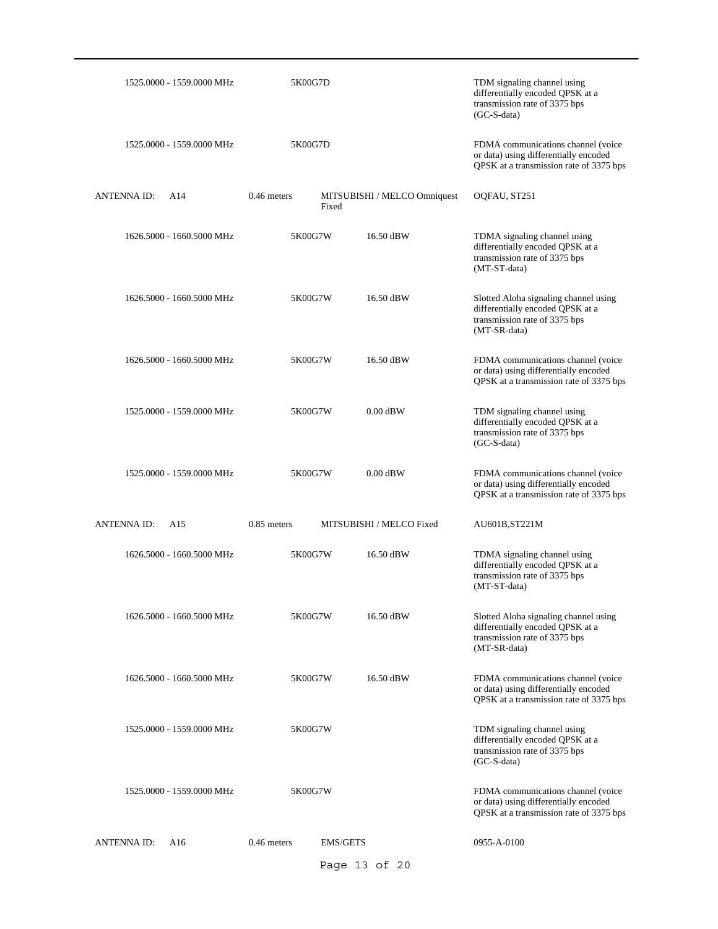| 1525.0000 - 1559.0000 MHz | 5K00G7D                          |                              | TDM signaling channel using<br>differentially encoded QPSK at a<br>transmission rate of 3375 bps<br>$(GC-S-data)$          |
|---------------------------|----------------------------------|------------------------------|----------------------------------------------------------------------------------------------------------------------------|
| 1525.0000 - 1559.0000 MHz | 5K00G7D                          |                              | FDMA communications channel (voice<br>or data) using differentially encoded<br>QPSK at a transmission rate of 3375 bps     |
| <b>ANTENNA ID:</b><br>A14 | $0.46$ meters<br>Fixed           | MITSUBISHI / MELCO Omniquest | OQFAU, ST251                                                                                                               |
| 1626.5000 - 1660.5000 MHz | 5K00G7W                          | 16.50 dBW                    | TDMA signaling channel using<br>differentially encoded QPSK at a<br>transmission rate of 3375 bps<br>(MT-ST-data)          |
| 1626.5000 - 1660.5000 MHz | 5K00G7W                          | 16.50 dBW                    | Slotted Aloha signaling channel using<br>differentially encoded QPSK at a<br>transmission rate of 3375 bps<br>(MT-SR-data) |
| 1626.5000 - 1660.5000 MHz | 5K00G7W                          | 16.50 dBW                    | FDMA communications channel (voice<br>or data) using differentially encoded<br>QPSK at a transmission rate of 3375 bps     |
| 1525,0000 - 1559,0000 MHz | 5K00G7W                          | $0.00$ dBW                   | TDM signaling channel using<br>differentially encoded QPSK at a<br>transmission rate of 3375 bps<br>$(GC-S-data)$          |
|                           |                                  |                              |                                                                                                                            |
| 1525.0000 - 1559.0000 MHz | 5K00G7W                          | $0.00$ dBW                   | FDMA communications channel (voice)<br>or data) using differentially encoded<br>QPSK at a transmission rate of 3375 bps    |
| <b>ANTENNA ID:</b><br>A15 | $0.85$ meters                    | MITSUBISHI / MELCO Fixed     | AU601B, ST221M                                                                                                             |
| 1626.5000 - 1660.5000 MHz | 5K00G7W                          | 16.50 dBW                    | TDMA signaling channel using<br>differentially encoded QPSK at a<br>transmission rate of 3375 bps<br>(MT-ST-data)          |
| 1626.5000 - 1660.5000 MHz | 5K00G7W                          | 16.50 dBW                    | Slotted Aloha signaling channel using<br>differentially encoded QPSK at a<br>transmission rate of 3375 bps<br>(MT-SR-data) |
| 1626.5000 - 1660.5000 MHz | 5K00G7W                          | 16.50 dBW                    | FDMA communications channel (voice<br>or data) using differentially encoded<br>QPSK at a transmission rate of 3375 bps     |
| 1525.0000 - 1559.0000 MHz | 5K00G7W                          |                              | TDM signaling channel using<br>differentially encoded QPSK at a<br>transmission rate of 3375 bps<br>$(GC-S-data)$          |
| 1525,0000 - 1559,0000 MHz | 5K00G7W                          |                              | FDMA communications channel (voice<br>or data) using differentially encoded<br>QPSK at a transmission rate of 3375 bps     |
| <b>ANTENNA ID:</b><br>A16 | $0.46$ meters<br><b>EMS/GETS</b> |                              | 0955-A-0100                                                                                                                |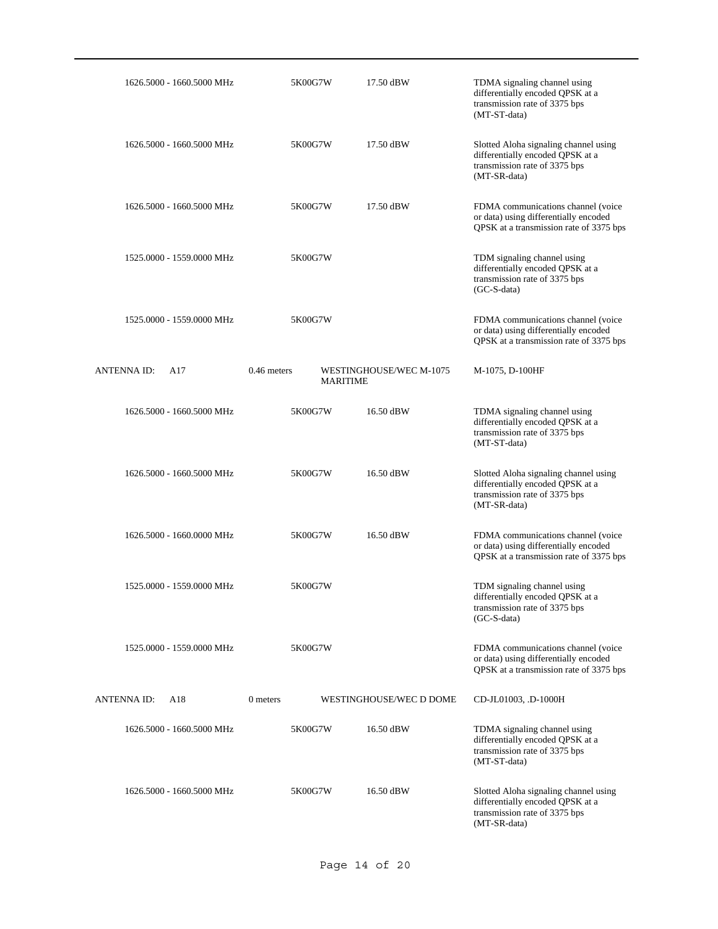| 1626.5000 - 1660.5000 MHz | 5K00G7W                        | 17.50 dBW               | TDMA signaling channel using<br>differentially encoded QPSK at a<br>transmission rate of 3375 bps<br>(MT-ST-data)          |
|---------------------------|--------------------------------|-------------------------|----------------------------------------------------------------------------------------------------------------------------|
| 1626.5000 - 1660.5000 MHz | 5K00G7W                        | 17.50 dBW               | Slotted Aloha signaling channel using<br>differentially encoded QPSK at a<br>transmission rate of 3375 bps<br>(MT-SR-data) |
| 1626.5000 - 1660.5000 MHz | 5K00G7W                        | 17.50 dBW               | FDMA communications channel (voice<br>or data) using differentially encoded<br>QPSK at a transmission rate of 3375 bps     |
| 1525.0000 - 1559.0000 MHz | 5K00G7W                        |                         | TDM signaling channel using<br>differentially encoded QPSK at a<br>transmission rate of 3375 bps<br>$(GC-S-data)$          |
| 1525.0000 - 1559.0000 MHz | 5K00G7W                        |                         | FDMA communications channel (voice<br>or data) using differentially encoded<br>QPSK at a transmission rate of 3375 bps     |
| <b>ANTENNAID:</b><br>A17  | 0.46 meters<br><b>MARITIME</b> | WESTINGHOUSE/WEC M-1075 | M-1075, D-100HF                                                                                                            |
| 1626.5000 - 1660.5000 MHz | 5K00G7W                        | 16.50 dBW               | TDMA signaling channel using<br>differentially encoded QPSK at a<br>transmission rate of 3375 bps<br>(MT-ST-data)          |
| 1626.5000 - 1660.5000 MHz | 5K00G7W                        | 16.50 dBW               | Slotted Aloha signaling channel using<br>differentially encoded QPSK at a<br>transmission rate of 3375 bps<br>(MT-SR-data) |
| 1626.5000 - 1660.0000 MHz | 5K00G7W                        | 16.50 dBW               | FDMA communications channel (voice<br>or data) using differentially encoded<br>QPSK at a transmission rate of 3375 bps     |
| 1525,0000 - 1559,0000 MHz | 5K00G7W                        |                         | TDM signaling channel using<br>differentially encoded QPSK at a<br>transmission rate of 3375 bps<br>$(GC-S-data)$          |
| 1525.0000 - 1559.0000 MHz | 5K00G7W                        |                         | FDMA communications channel (voice<br>or data) using differentially encoded<br>QPSK at a transmission rate of 3375 bps     |
| <b>ANTENNAID:</b><br>A18  | $0$ meters                     | WESTINGHOUSE/WEC D DOME | CD-JL01003, .D-1000H                                                                                                       |
| 1626.5000 - 1660.5000 MHz | 5K00G7W                        | 16.50 dBW               | TDMA signaling channel using<br>differentially encoded QPSK at a<br>transmission rate of 3375 bps<br>(MT-ST-data)          |
| 1626.5000 - 1660.5000 MHz | 5K00G7W                        | 16.50 dBW               | Slotted Aloha signaling channel using<br>differentially encoded QPSK at a<br>transmission rate of 3375 bps<br>(MT-SR-data) |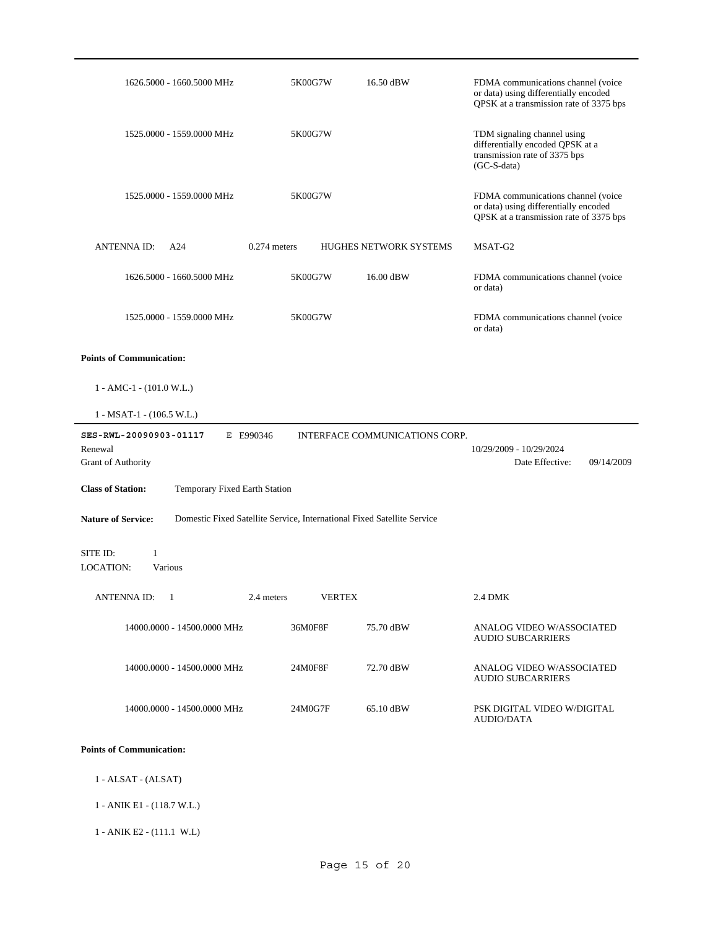| 1626.5000 - 1660.5000 MHz                                                                            | 5K00G7W        | 16.50 dBW                      | FDMA communications channel (voice<br>or data) using differentially encoded<br>QPSK at a transmission rate of 3375 bps |
|------------------------------------------------------------------------------------------------------|----------------|--------------------------------|------------------------------------------------------------------------------------------------------------------------|
| 1525.0000 - 1559.0000 MHz                                                                            | 5K00G7W        |                                | TDM signaling channel using<br>differentially encoded QPSK at a<br>transmission rate of 3375 bps<br>$(GC-S-data)$      |
| 1525.0000 - 1559.0000 MHz                                                                            | 5K00G7W        |                                | FDMA communications channel (voice<br>or data) using differentially encoded<br>QPSK at a transmission rate of 3375 bps |
| <b>ANTENNA ID:</b><br>A24                                                                            | $0.274$ meters | <b>HUGHES NETWORK SYSTEMS</b>  | MSAT-G2                                                                                                                |
| 1626.5000 - 1660.5000 MHz                                                                            | 5K00G7W        | 16.00 dBW                      | FDMA communications channel (voice<br>or data)                                                                         |
| 1525.0000 - 1559.0000 MHz                                                                            | 5K00G7W        |                                | FDMA communications channel (voice<br>or data)                                                                         |
| <b>Points of Communication:</b>                                                                      |                |                                |                                                                                                                        |
| $1 - AMC-1 - (101.0 W.L.)$                                                                           |                |                                |                                                                                                                        |
| $1 - MSAT-1 - (106.5 W.L.)$                                                                          |                |                                |                                                                                                                        |
| SES-RWL-20090903-01117<br>E E990346                                                                  |                | INTERFACE COMMUNICATIONS CORP. |                                                                                                                        |
| Renewal<br>Grant of Authority                                                                        |                |                                | 10/29/2009 - 10/29/2024<br>Date Effective:<br>09/14/2009                                                               |
| <b>Class of Station:</b><br>Temporary Fixed Earth Station                                            |                |                                |                                                                                                                        |
| <b>Nature of Service:</b><br>Domestic Fixed Satellite Service, International Fixed Satellite Service |                |                                |                                                                                                                        |
| SITE ID:<br>$\mathbf{1}$<br><b>LOCATION:</b><br>Various                                              |                |                                |                                                                                                                        |
| <b>ANTENNAID:</b><br>2.4 meters<br>$\overline{1}$                                                    | <b>VERTEX</b>  |                                | 2.4 DMK                                                                                                                |
| 14000.0000 - 14500.0000 MHz                                                                          | 36M0F8F        | 75.70 dBW                      | ANALOG VIDEO W/ASSOCIATED<br><b>AUDIO SUBCARRIERS</b>                                                                  |
| 14000.0000 - 14500.0000 MHz                                                                          | 24M0F8F        | 72.70 dBW                      | ANALOG VIDEO W/ASSOCIATED<br><b>AUDIO SUBCARRIERS</b>                                                                  |
| 14000.0000 - 14500.0000 MHz                                                                          | 24M0G7F        | 65.10 dBW                      | PSK DIGITAL VIDEO W/DIGITAL<br><b>AUDIO/DATA</b>                                                                       |
| <b>Points of Communication:</b>                                                                      |                |                                |                                                                                                                        |

- 1 ANIK E1 (118.7 W.L.)
- 1 ANIK E2 (111.1 W.L)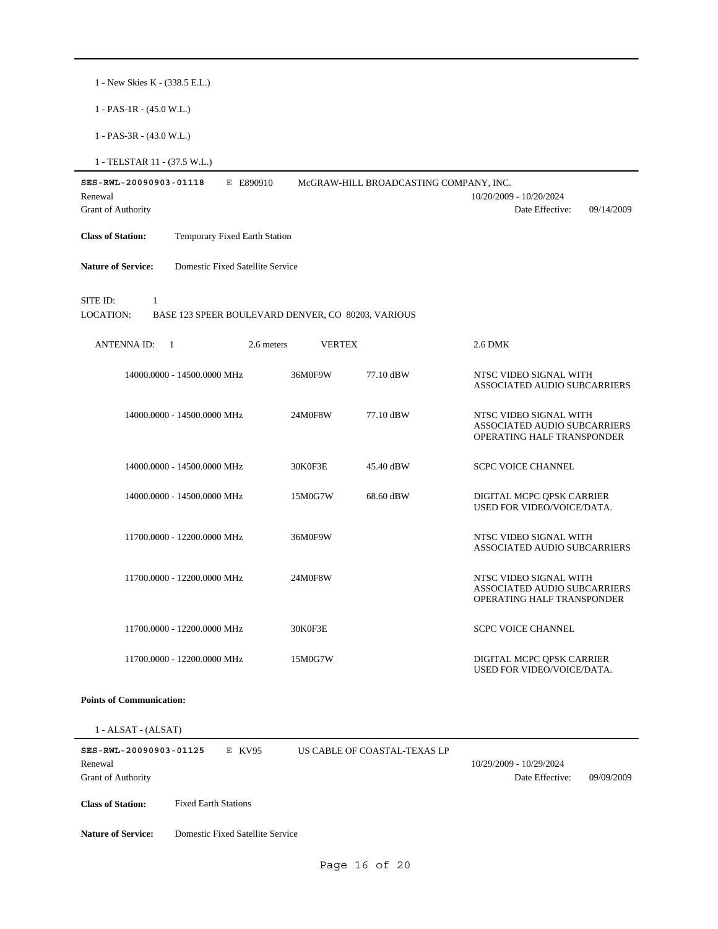|  |  |  | 1 - New Skies K - (338.5 E.L.) |  |  |  |  |  |  |
|--|--|--|--------------------------------|--|--|--|--|--|--|
|--|--|--|--------------------------------|--|--|--|--|--|--|

- 1 PAS-1R (45.0 W.L.)
- 1 PAS-3R (43.0 W.L.)

1 - TELSTAR 11 - (37.5 W.L.)

| SES-RWL-20090903-01118<br>E E890910                           |               | McGRAW-HILL BROADCASTING COMPANY, INC. |                                                                                      |
|---------------------------------------------------------------|---------------|----------------------------------------|--------------------------------------------------------------------------------------|
| Renewal                                                       |               |                                        | 10/20/2009 - 10/20/2024                                                              |
| <b>Grant of Authority</b>                                     |               |                                        | Date Effective:<br>09/14/2009                                                        |
| <b>Class of Station:</b><br>Temporary Fixed Earth Station     |               |                                        |                                                                                      |
|                                                               |               |                                        |                                                                                      |
| Domestic Fixed Satellite Service<br><b>Nature of Service:</b> |               |                                        |                                                                                      |
| SITE ID:<br>$\mathbf{1}$                                      |               |                                        |                                                                                      |
| BASE 123 SPEER BOULEVARD DENVER, CO 80203, VARIOUS            |               |                                        |                                                                                      |
| <b>LOCATION:</b>                                              |               |                                        |                                                                                      |
| <b>ANTENNAID:</b><br>2.6 meters<br>$\overline{1}$             | <b>VERTEX</b> |                                        | 2.6 DMK                                                                              |
| 14000.0000 - 14500.0000 MHz                                   | 36M0F9W       | 77.10 dBW                              | NTSC VIDEO SIGNAL WITH<br>ASSOCIATED AUDIO SUBCARRIERS                               |
| 14000.0000 - 14500.0000 MHz                                   | 24M0F8W       | 77.10 dBW                              | NTSC VIDEO SIGNAL WITH<br>ASSOCIATED AUDIO SUBCARRIERS<br>OPERATING HALF TRANSPONDER |
| 14000.0000 - 14500.0000 MHz                                   | 30K0F3E       | 45.40 dBW                              | <b>SCPC VOICE CHANNEL</b>                                                            |
| 14000.0000 - 14500.0000 MHz                                   | 15M0G7W       | 68.60 dBW                              | DIGITAL MCPC QPSK CARRIER<br>USED FOR VIDEO/VOICE/DATA.                              |
| 11700.0000 - 12200.0000 MHz                                   | 36M0F9W       |                                        | NTSC VIDEO SIGNAL WITH<br>ASSOCIATED AUDIO SUBCARRIERS                               |
| 11700.0000 - 12200.0000 MHz                                   | 24M0F8W       |                                        | NTSC VIDEO SIGNAL WITH<br>ASSOCIATED AUDIO SUBCARRIERS<br>OPERATING HALF TRANSPONDER |
| 11700.0000 - 12200.0000 MHz                                   | 30K0F3E       |                                        | <b>SCPC VOICE CHANNEL</b>                                                            |
| 11700.0000 - 12200.0000 MHz                                   | 15M0G7W       |                                        | DIGITAL MCPC QPSK CARRIER<br>USED FOR VIDEO/VOICE/DATA.                              |

**Points of Communication:**

1 - ALSAT - (ALSAT)

| SES-RWL-20090903-01125    |                             | $E$ KV95                         | US CABLE OF COASTAL-TEXAS LP |                         |                 |            |
|---------------------------|-----------------------------|----------------------------------|------------------------------|-------------------------|-----------------|------------|
| Renewal                   |                             |                                  |                              | 10/29/2009 - 10/29/2024 |                 |            |
| <b>Grant of Authority</b> |                             |                                  |                              |                         | Date Effective: | 09/09/2009 |
|                           |                             |                                  |                              |                         |                 |            |
| <b>Class of Station:</b>  | <b>Fixed Earth Stations</b> |                                  |                              |                         |                 |            |
|                           |                             |                                  |                              |                         |                 |            |
| <b>Nature of Service:</b> |                             | Domestic Fixed Satellite Service |                              |                         |                 |            |
|                           |                             |                                  |                              |                         |                 |            |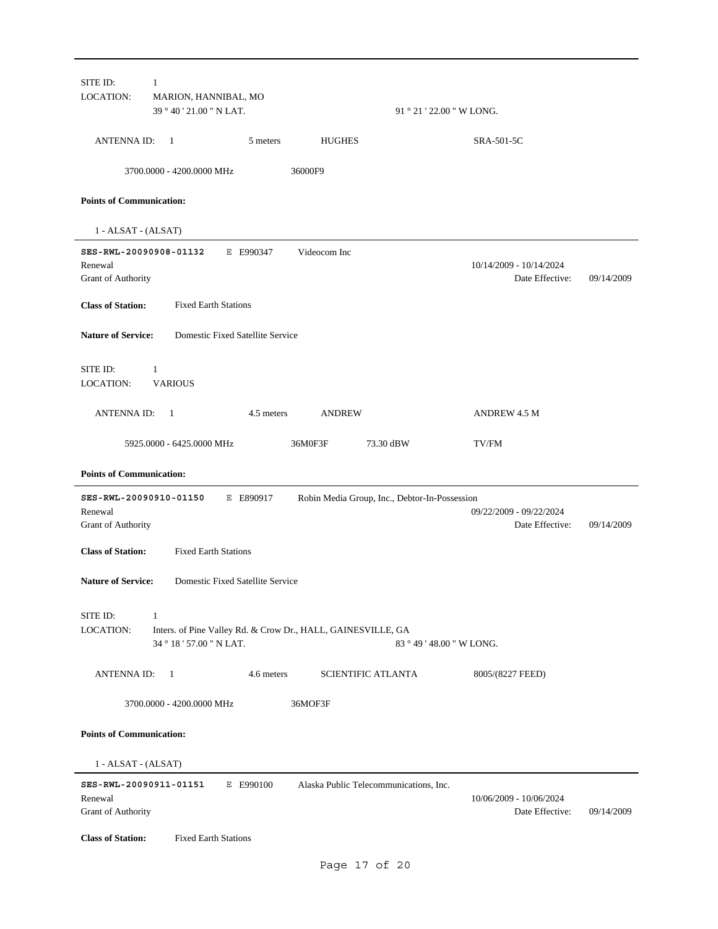| SITE ID:<br>$\mathbf{1}$<br>LOCATION:                   | MARION, HANNIBAL, MO<br>39 ° 40 ' 21.00 " N LAT.                                         |               |                                               | 91 ° 21 ' 22.00 " W LONG.                  |            |
|---------------------------------------------------------|------------------------------------------------------------------------------------------|---------------|-----------------------------------------------|--------------------------------------------|------------|
| ANTENNA ID: 1                                           | 5 meters                                                                                 | <b>HUGHES</b> |                                               | SRA-501-5C                                 |            |
|                                                         | 3700.0000 - 4200.0000 MHz                                                                | 36000F9       |                                               |                                            |            |
| <b>Points of Communication:</b>                         |                                                                                          |               |                                               |                                            |            |
| 1 - ALSAT - (ALSAT)                                     |                                                                                          |               |                                               |                                            |            |
| SES-RWL-20090908-01132<br>Renewal<br>Grant of Authority | E E990347                                                                                | Videocom Inc  |                                               | 10/14/2009 - 10/14/2024<br>Date Effective: | 09/14/2009 |
| <b>Class of Station:</b>                                | <b>Fixed Earth Stations</b>                                                              |               |                                               |                                            |            |
| <b>Nature of Service:</b>                               | Domestic Fixed Satellite Service                                                         |               |                                               |                                            |            |
| SITE ID:<br>1<br>LOCATION:                              | <b>VARIOUS</b>                                                                           |               |                                               |                                            |            |
| <b>ANTENNA ID:</b><br>$\overline{1}$                    | 4.5 meters                                                                               | <b>ANDREW</b> |                                               | <b>ANDREW 4.5 M</b>                        |            |
|                                                         | 5925.0000 - 6425.0000 MHz                                                                | 36M0F3F       | 73.30 dBW                                     | TV/FM                                      |            |
| <b>Points of Communication:</b>                         |                                                                                          |               |                                               |                                            |            |
| SES-RWL-20090910-01150                                  | E E890917                                                                                |               | Robin Media Group, Inc., Debtor-In-Possession |                                            |            |
| Renewal<br>Grant of Authority                           |                                                                                          |               |                                               | 09/22/2009 - 09/22/2024<br>Date Effective: | 09/14/2009 |
| <b>Class of Station:</b>                                | <b>Fixed Earth Stations</b>                                                              |               |                                               |                                            |            |
| <b>Nature of Service:</b>                               | Domestic Fixed Satellite Service                                                         |               |                                               |                                            |            |
| SITE ID:<br>$\mathbf{1}$<br>LOCATION:                   | Inters. of Pine Valley Rd. & Crow Dr., HALL, GAINESVILLE, GA<br>34 ° 18 ' 57.00 " N LAT. |               |                                               | 83 ° 49 ' 48.00 " W LONG.                  |            |
| <b>ANTENNA ID:</b><br>$\overline{1}$                    | 4.6 meters                                                                               |               | <b>SCIENTIFIC ATLANTA</b>                     | 8005/(8227 FEED)                           |            |
|                                                         | 3700.0000 - 4200.0000 MHz                                                                | 36MOF3F       |                                               |                                            |            |
| <b>Points of Communication:</b>                         |                                                                                          |               |                                               |                                            |            |
| 1 - ALSAT - (ALSAT)                                     |                                                                                          |               |                                               |                                            |            |
| SES-RWL-20090911-01151<br>Renewal<br>Grant of Authority | E E990100                                                                                |               | Alaska Public Telecommunications, Inc.        | 10/06/2009 - 10/06/2024<br>Date Effective: | 09/14/2009 |
| <b>Class of Station:</b>                                | <b>Fixed Earth Stations</b>                                                              |               |                                               |                                            |            |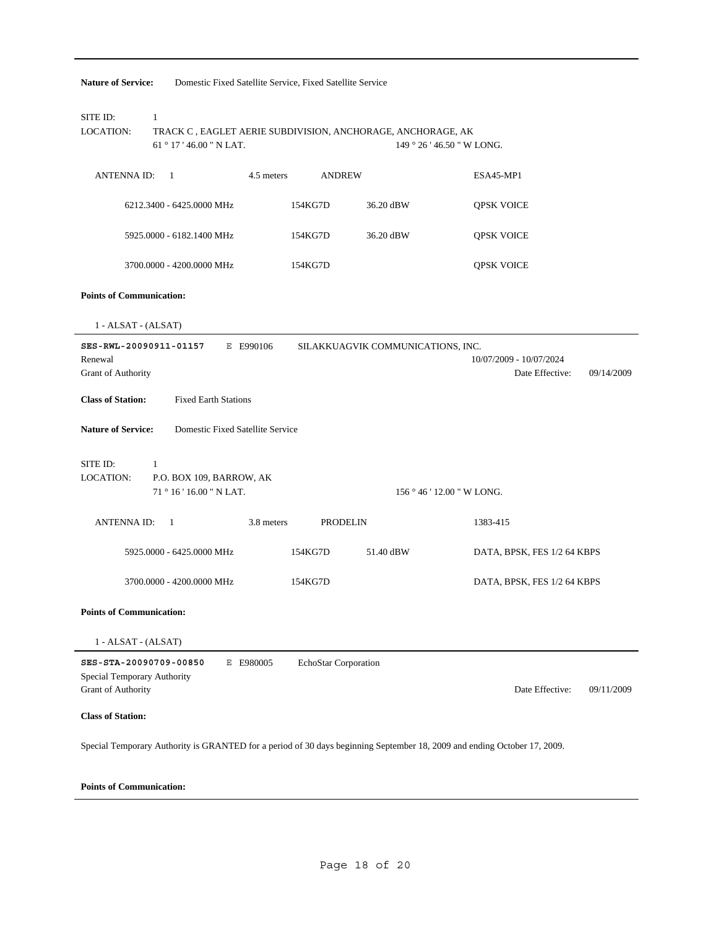| <b>Nature of Service:</b>                                                   | Domestic Fixed Satellite Service, Fixed Satellite Service                               |                               |                                   |                                                                                                                          |
|-----------------------------------------------------------------------------|-----------------------------------------------------------------------------------------|-------------------------------|-----------------------------------|--------------------------------------------------------------------------------------------------------------------------|
| SITE ID:<br>$\mathbf{1}$<br>LOCATION:                                       | TRACK C, EAGLET AERIE SUBDIVISION, ANCHORAGE, ANCHORAGE, AK<br>61 ° 17 ' 46.00 " N LAT. |                               |                                   | 149 ° 26 ' 46.50 " W LONG.                                                                                               |
| ANTENNA ID:                                                                 | $\overline{1}$                                                                          | 4.5 meters<br><b>ANDREW</b>   |                                   | ESA45-MP1                                                                                                                |
|                                                                             | 6212.3400 - 6425.0000 MHz                                                               | 154KG7D                       | 36.20 dBW                         | <b>QPSK VOICE</b>                                                                                                        |
|                                                                             | 5925.0000 - 6182.1400 MHz                                                               | 154KG7D                       | 36.20 dBW                         | <b>QPSK VOICE</b>                                                                                                        |
|                                                                             | 3700.0000 - 4200.0000 MHz                                                               | 154KG7D                       |                                   | <b>QPSK VOICE</b>                                                                                                        |
| <b>Points of Communication:</b>                                             |                                                                                         |                               |                                   |                                                                                                                          |
| 1 - ALSAT - (ALSAT)                                                         |                                                                                         |                               |                                   |                                                                                                                          |
| SES-RWL-20090911-01157<br>Renewal<br>Grant of Authority                     | E E990106                                                                               |                               | SILAKKUAGVIK COMMUNICATIONS, INC. | 10/07/2009 - 10/07/2024<br>Date Effective:<br>09/14/2009                                                                 |
| <b>Class of Station:</b>                                                    | <b>Fixed Earth Stations</b>                                                             |                               |                                   |                                                                                                                          |
| <b>Nature of Service:</b>                                                   | Domestic Fixed Satellite Service                                                        |                               |                                   |                                                                                                                          |
| SITE ID:<br>$\mathbf{1}$<br>LOCATION:                                       | P.O. BOX 109, BARROW, AK<br>71°16'16.00"N LAT.                                          |                               |                                   | 156 ° 46 ' 12.00 " W LONG.                                                                                               |
| ANTENNA ID:                                                                 | $\overline{1}$                                                                          | 3.8 meters<br><b>PRODELIN</b> |                                   | 1383-415                                                                                                                 |
|                                                                             | 5925.0000 - 6425.0000 MHz                                                               | 154KG7D                       | 51.40 dBW                         | DATA, BPSK, FES 1/2 64 KBPS                                                                                              |
|                                                                             | 3700.0000 - 4200.0000 MHz                                                               | 154KG7D                       |                                   | DATA, BPSK, FES 1/2 64 KBPS                                                                                              |
| <b>Points of Communication:</b>                                             |                                                                                         |                               |                                   |                                                                                                                          |
| 1 - ALSAT - (ALSAT)                                                         |                                                                                         |                               |                                   |                                                                                                                          |
| SES-STA-20090709-00850<br>Special Temporary Authority<br>Grant of Authority | E E980005                                                                               | EchoStar Corporation          |                                   | Date Effective:<br>09/11/2009                                                                                            |
| <b>Class of Station:</b>                                                    |                                                                                         |                               |                                   |                                                                                                                          |
|                                                                             |                                                                                         |                               |                                   | Special Temporary Authority is GRANTED for a period of 30 days beginning September 18, 2009 and ending October 17, 2009. |
| <b>Points of Communication:</b>                                             |                                                                                         |                               |                                   |                                                                                                                          |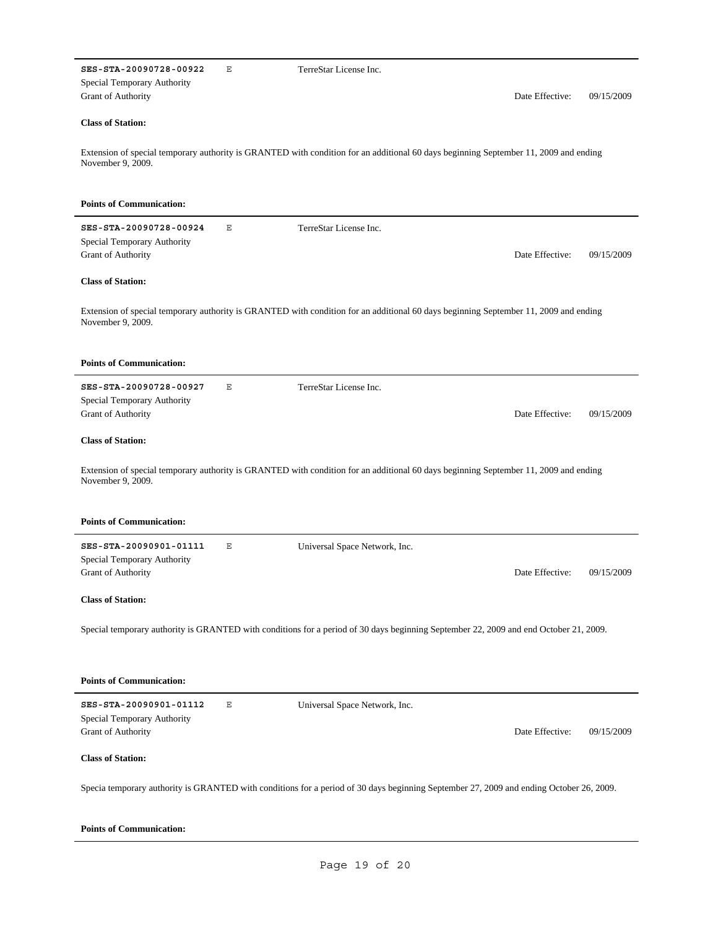| SES-STA-20090728-00922                                   | Ε           | TerreStar License Inc.                                                                                                                  |                 |            |
|----------------------------------------------------------|-------------|-----------------------------------------------------------------------------------------------------------------------------------------|-----------------|------------|
| Special Temporary Authority<br><b>Grant of Authority</b> |             |                                                                                                                                         | Date Effective: | 09/15/2009 |
|                                                          |             |                                                                                                                                         |                 |            |
| <b>Class of Station:</b>                                 |             |                                                                                                                                         |                 |            |
| November 9, 2009.                                        |             | Extension of special temporary authority is GRANTED with condition for an additional 60 days beginning September 11, 2009 and ending    |                 |            |
| <b>Points of Communication:</b>                          |             |                                                                                                                                         |                 |            |
| SES-STA-20090728-00924                                   | Ε           | TerreStar License Inc.                                                                                                                  |                 |            |
| Special Temporary Authority<br><b>Grant of Authority</b> |             |                                                                                                                                         | Date Effective: | 09/15/2009 |
| <b>Class of Station:</b>                                 |             |                                                                                                                                         |                 |            |
| November 9, 2009.                                        |             | Extension of special temporary authority is GRANTED with condition for an additional 60 days beginning September 11, 2009 and ending    |                 |            |
| <b>Points of Communication:</b>                          |             |                                                                                                                                         |                 |            |
| SES-STA-20090728-00927                                   | Ε           | TerreStar License Inc.                                                                                                                  |                 |            |
| Special Temporary Authority<br>Grant of Authority        |             |                                                                                                                                         | Date Effective: | 09/15/2009 |
| <b>Class of Station:</b>                                 |             |                                                                                                                                         |                 |            |
| November 9, 2009.                                        |             | Extension of special temporary authority is GRANTED with condition for an additional 60 days beginning September 11, 2009 and ending    |                 |            |
| <b>Points of Communication:</b>                          |             |                                                                                                                                         |                 |            |
| SES-STA-20090901-01111                                   | $\mathbf E$ | Universal Space Network, Inc.                                                                                                           |                 |            |
| Special Temporary Authority<br><b>Grant of Authority</b> |             |                                                                                                                                         | Date Effective: | 09/15/2009 |
| <b>Class of Station:</b>                                 |             |                                                                                                                                         |                 |            |
|                                                          |             | Special temporary authority is GRANTED with conditions for a period of 30 days beginning September 22, 2009 and end October 21, 2009.   |                 |            |
| <b>Points of Communication:</b>                          |             |                                                                                                                                         |                 |            |
| SES-STA-20090901-01112<br>Special Temporary Authority    |             |                                                                                                                                         |                 |            |
|                                                          | Ε           | Universal Space Network, Inc.                                                                                                           | Date Effective: | 09/15/2009 |
| Grant of Authority                                       |             |                                                                                                                                         |                 |            |
| <b>Class of Station:</b>                                 |             |                                                                                                                                         |                 |            |
|                                                          |             | Specia temporary authority is GRANTED with conditions for a period of 30 days beginning September 27, 2009 and ending October 26, 2009. |                 |            |